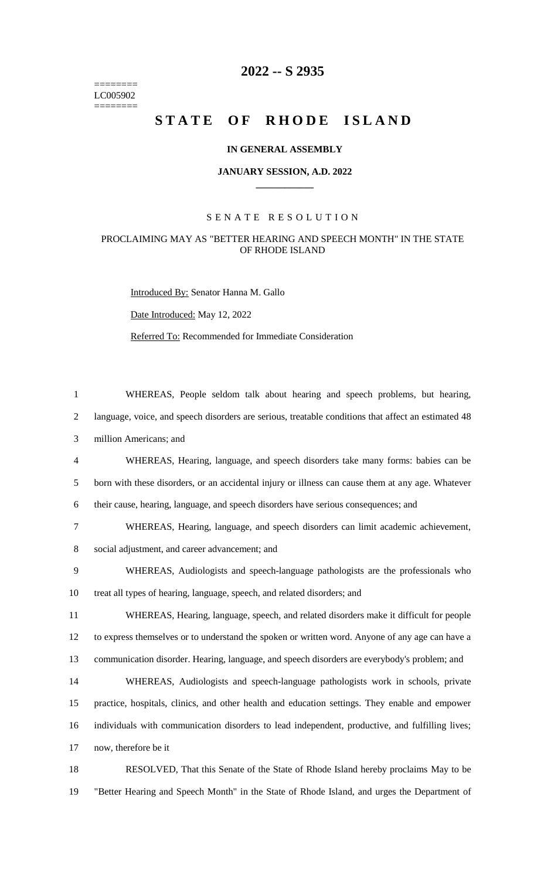======== LC005902  $=$ 

# **2022 -- S 2935**

# STATE OF RHODE ISLAND

### **IN GENERAL ASSEMBLY**

### **JANUARY SESSION, A.D. 2022 \_\_\_\_\_\_\_\_\_\_\_\_**

## S E N A T E R E S O L U T I O N

## PROCLAIMING MAY AS "BETTER HEARING AND SPEECH MONTH" IN THE STATE OF RHODE ISLAND

Introduced By: Senator Hanna M. Gallo

Date Introduced: May 12, 2022

Referred To: Recommended for Immediate Consideration

| $\mathbf{1}$ | WHEREAS, People seldom talk about hearing and speech problems, but hearing,                         |
|--------------|-----------------------------------------------------------------------------------------------------|
| 2            | language, voice, and speech disorders are serious, treatable conditions that affect an estimated 48 |
| 3            | million Americans; and                                                                              |
| 4            | WHEREAS, Hearing, language, and speech disorders take many forms: babies can be                     |
| 5            | born with these disorders, or an accidental injury or illness can cause them at any age. Whatever   |
| 6            | their cause, hearing, language, and speech disorders have serious consequences; and                 |
| 7            | WHEREAS, Hearing, language, and speech disorders can limit academic achievement,                    |
| 8            | social adjustment, and career advancement; and                                                      |
| 9            | WHEREAS, Audiologists and speech-language pathologists are the professionals who                    |
| 10           | treat all types of hearing, language, speech, and related disorders; and                            |
| 11           | WHEREAS, Hearing, language, speech, and related disorders make it difficult for people              |
| 12           | to express themselves or to understand the spoken or written word. Anyone of any age can have a     |
| 13           | communication disorder. Hearing, language, and speech disorders are everybody's problem; and        |
| 14           | WHEREAS, Audiologists and speech-language pathologists work in schools, private                     |
| 15           | practice, hospitals, clinics, and other health and education settings. They enable and empower      |
| 16           | individuals with communication disorders to lead independent, productive, and fulfilling lives;     |
| 17           | now, therefore be it                                                                                |
| 18           | RESOLVED, That this Senate of the State of Rhode Island hereby proclaims May to be                  |

19 "Better Hearing and Speech Month" in the State of Rhode Island, and urges the Department of